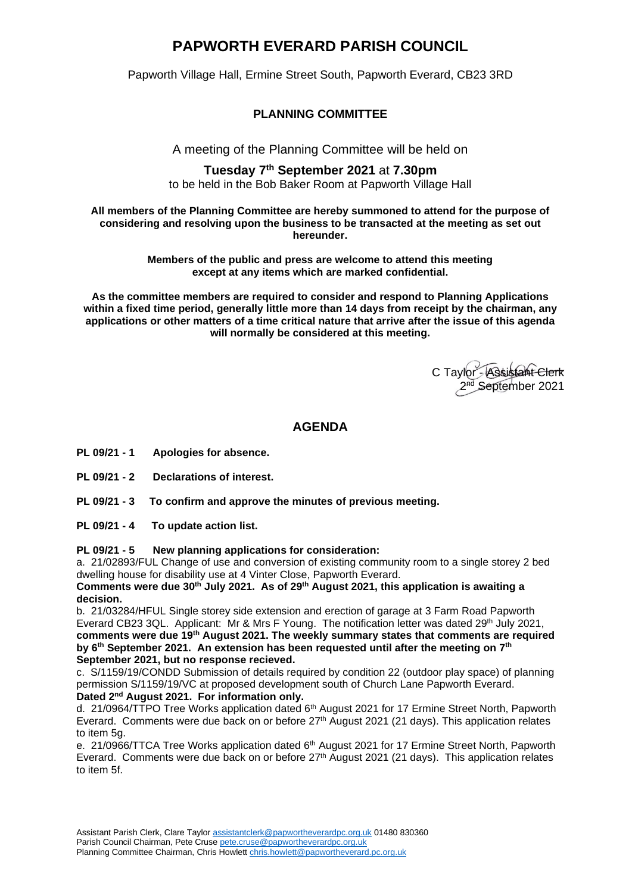# **PAPWORTH EVERARD PARISH COUNCIL**

Papworth Village Hall, Ermine Street South, Papworth Everard, CB23 3RD

## **PLANNING COMMITTEE**

A meeting of the Planning Committee will be held on

#### **Tuesday 7 th September 2021** at **7.30pm** to be held in the Bob Baker Room at Papworth Village Hall

**All members of the Planning Committee are hereby summoned to attend for the purpose of considering and resolving upon the business to be transacted at the meeting as set out hereunder.**

> **Members of the public and press are welcome to attend this meeting except at any items which are marked confidential.**

**As the committee members are required to consider and respond to Planning Applications within a fixed time period, generally little more than 14 days from receipt by the chairman, any applications or other matters of a time critical nature that arrive after the issue of this agenda will normally be considered at this meeting.**

C Taylor - Assistant Clerk 2<sup>nd</sup> September 2021

# **AGENDA**

- **PL 09/21 - 1 Apologies for absence.**
- **PL 09/21 - 2 Declarations of interest.**
- **PL 09/21 - 3 To confirm and approve the minutes of previous meeting.**
- **PL 09/21 - 4 To update action list.**

#### **PL 09/21 - 5 New planning applications for consideration:**

a. 21/02893/FUL Change of use and conversion of existing community room to a single storey 2 bed dwelling house for disability use at 4 Vinter Close, Papworth Everard.

**Comments were due 30th July 2021. As of 29th August 2021, this application is awaiting a decision.**

b. 21/03284/HFUL Single storey side extension and erection of garage at 3 Farm Road Papworth Everard CB23 3QL.Applicant: Mr & Mrs F Young. The notification letter was dated 29th July 2021, **comments were due 19th August 2021. The weekly summary states that comments are required by 6 th September 2021. An extension has been requested until after the meeting on 7th September 2021, but no response recieved.**

c. S/1159/19/CONDD Submission of details required by condition 22 (outdoor play space) of planning permission S/1159/19/VC at proposed development south of Church Lane Papworth Everard. **Dated 2nd August 2021. For information only.**

d. 21/0964/TTPO Tree Works application dated 6<sup>th</sup> August 2021 for 17 Ermine Street North, Papworth Everard. Comments were due back on or before 27<sup>th</sup> August 2021 (21 days). This application relates to item 5g.

e. 21/0966/TTCA Tree Works application dated 6<sup>th</sup> August 2021 for 17 Ermine Street North, Papworth Everard. Comments were due back on or before  $27<sup>th</sup>$  August 2021 (21 days). This application relates to item 5f.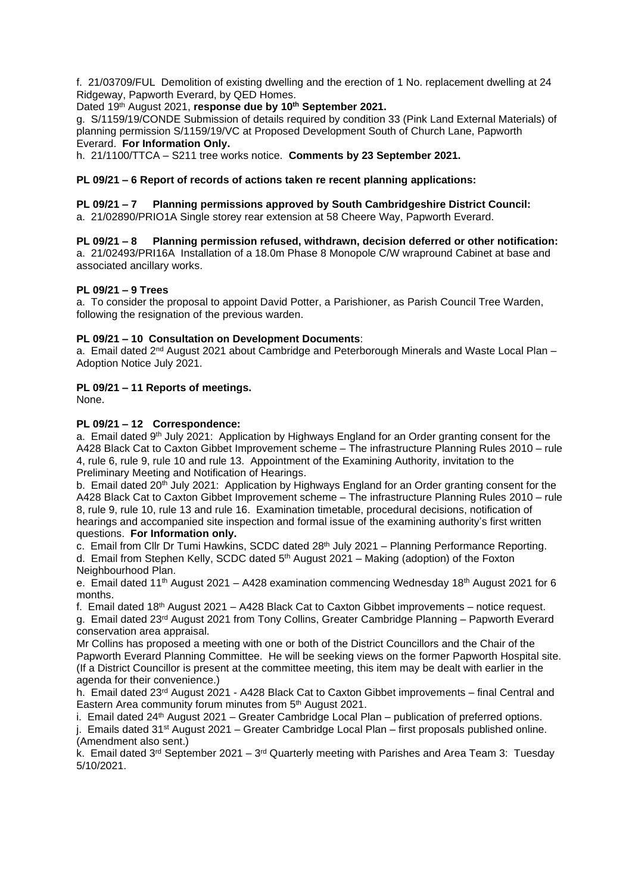f. 21/03709/FUL Demolition of existing dwelling and the erection of 1 No. replacement dwelling at 24 Ridgeway, Papworth Everard, by QED Homes.

#### Dated 19th August 2021, **response due by 10th September 2021.**

g. S/1159/19/CONDE Submission of details required by condition 33 (Pink Land External Materials) of planning permission S/1159/19/VC at Proposed Development South of Church Lane, Papworth Everard. **For Information Only.**

h. 21/1100/TTCA – S211 tree works notice. **Comments by 23 September 2021.**

## **PL 09/21 – 6 Report of records of actions taken re recent planning applications:**

**PL 09/21 – 7 Planning permissions approved by South Cambridgeshire District Council:** 

a. 21/02890/PRIO1A Single storey rear extension at 58 Cheere Way, Papworth Everard.

**PL 09/21 – 8 Planning permission refused, withdrawn, decision deferred or other notification:** a. 21/02493/PRI16A Installation of a 18.0m Phase 8 Monopole C/W wrapround Cabinet at base and associated ancillary works.

#### **PL 09/21 – 9 Trees**

a. To consider the proposal to appoint David Potter, a Parishioner, as Parish Council Tree Warden, following the resignation of the previous warden.

#### **PL 09/21 – 10 Consultation on Development Documents**:

a. Email dated 2<sup>nd</sup> August 2021 about Cambridge and Peterborough Minerals and Waste Local Plan – Adoption Notice July 2021.

## **PL 09/21 – 11 Reports of meetings.**

None.

#### **PL 09/21 – 12 Correspondence:**

a. Email dated 9<sup>th</sup> July 2021: Application by Highways England for an Order granting consent for the A428 Black Cat to Caxton Gibbet Improvement scheme – The infrastructure Planning Rules 2010 – rule 4, rule 6, rule 9, rule 10 and rule 13. Appointment of the Examining Authority, invitation to the Preliminary Meeting and Notification of Hearings.

b. Email dated 20<sup>th</sup> July 2021: Application by Highways England for an Order granting consent for the A428 Black Cat to Caxton Gibbet Improvement scheme – The infrastructure Planning Rules 2010 – rule 8, rule 9, rule 10, rule 13 and rule 16. Examination timetable, procedural decisions, notification of hearings and accompanied site inspection and formal issue of the examining authority's first written questions. **For Information only.**

c. Email from Cllr Dr Tumi Hawkins, SCDC dated 28<sup>th</sup> July 2021 – Planning Performance Reporting. d. Email from Stephen Kelly, SCDC dated 5th August 2021 – Making (adoption) of the Foxton Neighbourhood Plan.

e. Email dated 11<sup>th</sup> August 2021 – A428 examination commencing Wednesday 18<sup>th</sup> August 2021 for 6 months.

f. Email dated 18<sup>th</sup> August 2021 – A428 Black Cat to Caxton Gibbet improvements – notice request.

g. Email dated 23rd August 2021 from Tony Collins, Greater Cambridge Planning – Papworth Everard conservation area appraisal.

Mr Collins has proposed a meeting with one or both of the District Councillors and the Chair of the Papworth Everard Planning Committee. He will be seeking views on the former Papworth Hospital site. (If a District Councillor is present at the committee meeting, this item may be dealt with earlier in the agenda for their convenience.)

h. Email dated 23<sup>rd</sup> August 2021 - A428 Black Cat to Caxton Gibbet improvements – final Central and Eastern Area community forum minutes from 5<sup>th</sup> August 2021.

i. Email dated  $24$ <sup>th</sup> August 2021 – Greater Cambridge Local Plan – publication of preferred options. j. Emails dated  $31<sup>st</sup>$  August 2021 – Greater Cambridge Local Plan – first proposals published online.

(Amendment also sent.)

k. Email dated 3<sup>rd</sup> September 2021 – 3<sup>rd</sup> Quarterly meeting with Parishes and Area Team 3: Tuesday 5/10/2021.